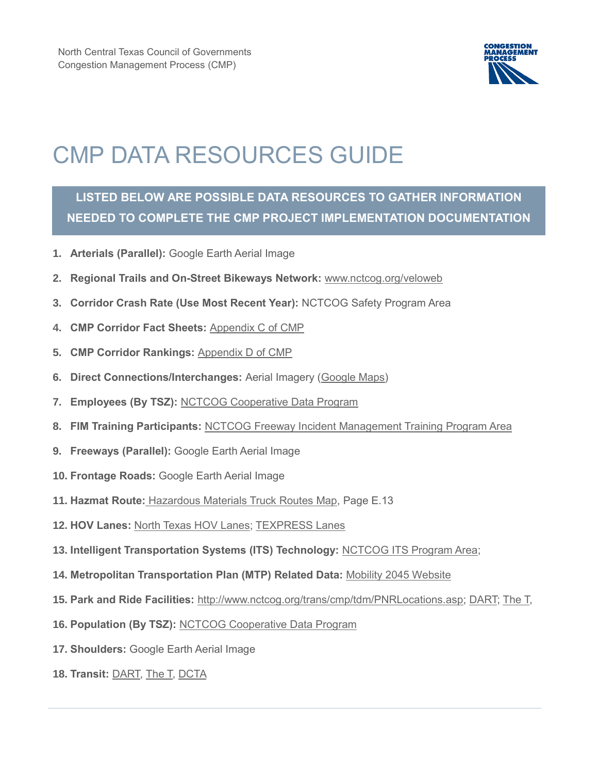

## CMP DATA RESOURCES GUIDE

## **LISTED BELOW ARE POSSIBLE DATA RESOURCES TO GATHER INFORMATION NEEDED TO COMPLETE THE CMP PROJECT IMPLEMENTATION DOCUMENTATION**

- **1. Arterials (Parallel):** Google Earth Aerial Image
- **2. Regional Trails and On-Street Bikeways Network:** [www.nctcog.org/veloweb](http://www.nctcog.org/veloweb)
- **3. Corridor Crash Rate (Use Most Recent Year):** NCTCOG Safety Program Area
- **4. CMP Corridor Fact Sheets:** [Appendix C of CMP](https://www.nctcog.org/nctcg/media/Transportation/DocsMaps/Manage/CMP/CMP-2013-Appendix-C-Corridor-Fact-Sheets.pdf)
- **5. CMP Corridor Rankings:** [Appendix D of CMP](https://www.nctcog.org/nctcg/media/Transportation/DocsMaps/Manage/CMP/CMP-2013-Appendix-D-Corridor-Rankings.pdf)
- **6. Direct Connections/Interchanges:** Aerial Imagery [\(Google Maps\)](https://www.google.com/maps/@32.7585521,-96.9045962,154342m/data=!3m1!1e3)
- **7. Employees (By TSZ):** [NCTCOG Cooperative Data Program](http://www.nctcog.org/ris/cdp/AboutUs.aspx)
- **8. FIM Training Participants:** [NCTCOG Freeway Incident Management Training Program Area](http://www.nctcog.org/trans/safety/FIM.asp)
- **9. Freeways (Parallel):** Google Earth Aerial Image
- **10. Frontage Roads:** Google Earth Aerial Image
- **11. Hazmat Route:** [Hazardous Materials Truck Routes Map,](https://www.nctcog.org/nctcg/media/Transportation/DocsMaps/Plan/MTP/E-Mobility-Options.pdf) Page E.13
- **12. HOV Lanes:** [North Texas HOV Lanes;](https://www.txdot.gov/driver/hov-lanes/high-occupancy-vehicle-lanes.html;) [TEXPRESS Lanes](http://www.texpresslanes.com/about-us/get-acquainted)
- **13. Intelligent Transportation Systems (ITS) Technology:** [NCTCOG ITS Program Area;](http://www.nctcog.org/trans/its/maps.asp)
- **14. Metropolitan Transportation Plan (MTP) Related Data:** [Mobility 2045 Website](https://www.nctcog.org/trans/plan/mtp/2045)
- **15. Park and Ride Facilities:** [http://www.nctcog.org/trans/cmp/tdm/PNRLocations.asp;](http://www.nctcog.org/trans/cmp/tdm/PNRLocations.asp) [DART;](http://www.dart.org/maps/locationslist.asp) [The T,](http://the-t.com/CommuterPrograms/ParkRide/tabid/82/Default.aspx)
- **16. Population (By TSZ):** [NCTCOG Cooperative Data Program](http://www.nctcog.org/ris/cdp/AboutUs.aspx)
- **17. Shoulders:** Google Earth Aerial Image
- **18. Transit:** [DART,](http://www.dart.org/maps/systemmap.asp) [The T,](https://www.the-t.com/wp-content/uploads/2018/08/Trinity-Metro_System-Map_August-12-2018.pdf) [DCTA](https://www.dcta.net/routes-schedules)